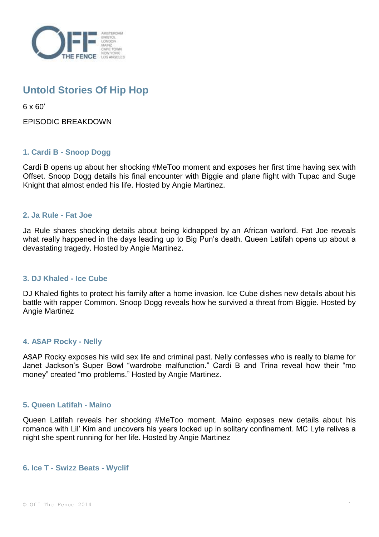

# **Untold Stories Of Hip Hop**

6 x 60'

EPISODIC BREAKDOWN

## **1. Cardi B - Snoop Dogg**

Cardi B opens up about her shocking #MeToo moment and exposes her first time having sex with Offset. Snoop Dogg details his final encounter with Biggie and plane flight with Tupac and Suge Knight that almost ended his life. Hosted by Angie Martinez.

## **2. Ja Rule - Fat Joe**

Ja Rule shares shocking details about being kidnapped by an African warlord. Fat Joe reveals what really happened in the days leading up to Big Pun's death. Queen Latifah opens up about a devastating tragedy. Hosted by Angie Martinez.

## **3. DJ Khaled - Ice Cube**

DJ Khaled fights to protect his family after a home invasion. Ice Cube dishes new details about his battle with rapper Common. Snoop Dogg reveals how he survived a threat from Biggie. Hosted by Angie Martinez

### **4. A\$AP Rocky - Nelly**

A\$AP Rocky exposes his wild sex life and criminal past. Nelly confesses who is really to blame for Janet Jackson's Super Bowl "wardrobe malfunction." Cardi B and Trina reveal how their "mo money" created "mo problems." Hosted by Angie Martinez.

## **5. Queen Latifah - Maino**

Queen Latifah reveals her shocking #MeToo moment. Maino exposes new details about his romance with Lil' Kim and uncovers his years locked up in solitary confinement. MC Lyte relives a night she spent running for her life. Hosted by Angie Martinez

### **6. Ice T - Swizz Beats - Wyclif**